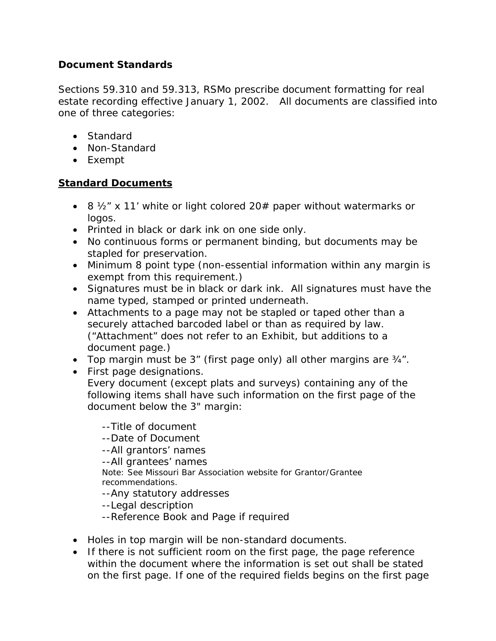# *Document Standards*

Sections 59.310 and 59.313, RSMo prescribe document formatting for real estate recording effective January 1, 2002. All documents are classified into one of three categories:

- Standard
- Non-Standard
- Exempt

### *Standard Documents*

- 8  $\frac{1}{2}$  x 11' white or light colored 20# paper without watermarks or logos.
- Printed in black or dark ink on one side only.
- No continuous forms or permanent binding, but documents may be stapled for preservation.
- Minimum 8 point type (non-essential information within any margin is exempt from this requirement.)
- Signatures must be in black or dark ink. All signatures must have the name typed, stamped or printed underneath.
- Attachments to a page may not be stapled or taped other than a securely attached barcoded label or than as required by law. ("Attachment" does not refer to an Exhibit, but additions to a document page.)
- Top margin must be 3" (first page only) all other margins are ¾".
- First page designations.
	- Every document (except plats and surveys) containing any of the following items shall have such information on the first page of the document below the 3" margin:

--Title of document --Date of Document --All grantors' names --All grantees' names Note: See Missouri Bar Association website for Grantor/Grantee recommendations. --Any statutory addresses

- --Legal description
- --Reference Book and Page if required
- Holes in top margin will be non-standard documents.
- If there is not sufficient room on the first page, the page reference within the document where the information is set out shall be stated on the first page. If one of the required fields begins on the first page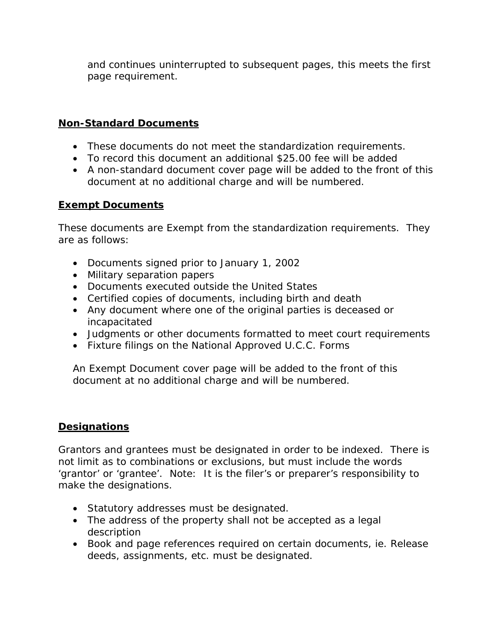and continues uninterrupted to subsequent pages, this meets the first page requirement.

# *Non-Standard Documents*

- These documents do not meet the standardization requirements.
- To record this document an additional \$25.00 fee will be added
- A non-standard document cover page will be added to the front of this document at no additional charge and will be numbered.

#### *Exempt Documents*

These documents are Exempt from the standardization requirements. They are as follows:

- Documents signed prior to January 1, 2002
- Military separation papers
- Documents executed outside the United States
- Certified copies of documents, including birth and death
- Any document where one of the original parties is deceased or incapacitated
- Judgments or other documents formatted to meet court requirements
- Fixture filings on the National Approved U.C.C. Forms

An Exempt Document cover page will be added to the front of this document at no additional charge and will be numbered.

# *Designations*

Grantors and grantees must be designated in order to be indexed. There is not limit as to combinations or exclusions, but must include the words 'grantor' or 'grantee'. Note: It is the filer's or preparer's responsibility to make the designations.

- Statutory addresses must be designated.
- The address of the property shall not be accepted as a legal description
- Book and page references required on certain documents, ie. Release deeds, assignments, etc. must be designated.